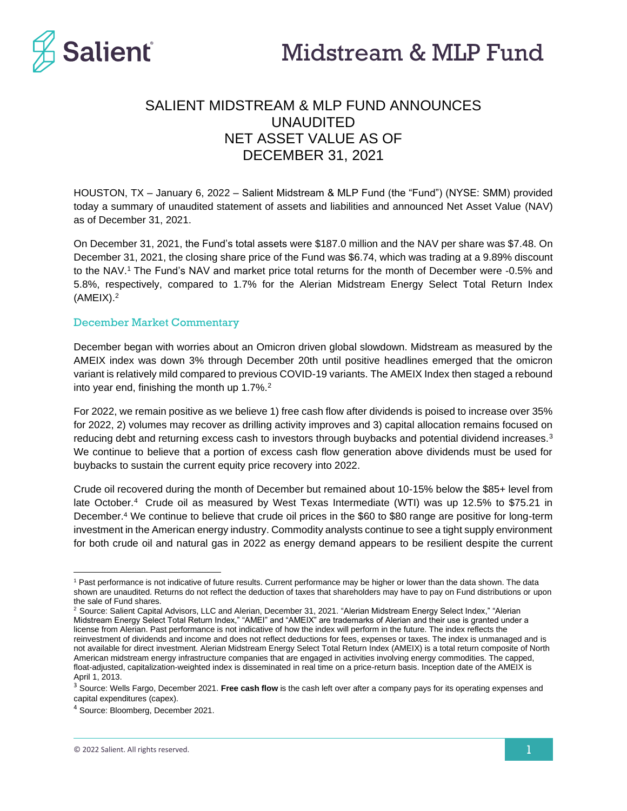

# SALIENT MIDSTREAM & MLP FUND ANNOUNCES UNAUDITED NET ASSET VALUE AS OF DECEMBER 31, 2021

HOUSTON, TX – January 6, 2022 – Salient Midstream & MLP Fund (the "Fund") (NYSE: SMM) provided today a summary of unaudited statement of assets and liabilities and announced Net Asset Value (NAV) as of December 31, 2021.

On December 31, 2021, the Fund's total assets were \$187.0 million and the NAV per share was \$7.48. On December 31, 2021, the closing share price of the Fund was \$6.74, which was trading at a 9.89% discount to the NAV.<sup>1</sup> The Fund's NAV and market price total returns for the month of December were -0.5% and 5.8%, respectively, compared to 1.7% for the Alerian Midstream Energy Select Total Return Index (AMEIX). 2

#### December Market Commentary

December began with worries about an Omicron driven global slowdown. Midstream as measured by the AMEIX index was down 3% through December 20th until positive headlines emerged that the omicron variant is relatively mild compared to previous COVID-19 variants. The AMEIX Index then staged a rebound into year end, finishing the month up 1.7%. $2$ 

For 2022, we remain positive as we believe 1) free cash flow after dividends is poised to increase over 35% for 2022, 2) volumes may recover as drilling activity improves and 3) capital allocation remains focused on reducing debt and returning excess cash to investors through buybacks and potential dividend increases.<sup>3</sup> We continue to believe that a portion of excess cash flow generation above dividends must be used for buybacks to sustain the current equity price recovery into 2022.

Crude oil recovered during the month of December but remained about 10-15% below the \$85+ level from late October.<sup>4</sup> Crude oil as measured by West Texas Intermediate (WTI) was up 12.5% to \$75.21 in December.<sup>4</sup> We continue to believe that crude oil prices in the \$60 to \$80 range are positive for long-term investment in the American energy industry. Commodity analysts continue to see a tight supply environment for both crude oil and natural gas in 2022 as energy demand appears to be resilient despite the current

<sup>1</sup> Past performance is not indicative of future results. Current performance may be higher or lower than the data shown. The data shown are unaudited. Returns do not reflect the deduction of taxes that shareholders may have to pay on Fund distributions or upon the sale of Fund shares.

<sup>2</sup> Source: Salient Capital Advisors, LLC and Alerian, December 31, 2021. "Alerian Midstream Energy Select Index," "Alerian Midstream Energy Select Total Return Index," "AMEI" and "AMEIX" are trademarks of Alerian and their use is granted under a license from Alerian. Past performance is not indicative of how the index will perform in the future. The index reflects the reinvestment of dividends and income and does not reflect deductions for fees, expenses or taxes. The index is unmanaged and is not available for direct investment. Alerian Midstream Energy Select Total Return Index (AMEIX) is a total return composite of North American midstream energy infrastructure companies that are engaged in activities involving energy commodities. The capped, float-adjusted, capitalization-weighted index is disseminated in real time on a price-return basis. Inception date of the AMEIX is April 1, 2013.

<sup>3</sup> Source: Wells Fargo, December 2021. **Free cash flow** is the cash left over after a company pays for its operating expenses and capital expenditures (capex).

<sup>4</sup> Source: Bloomberg, December 2021.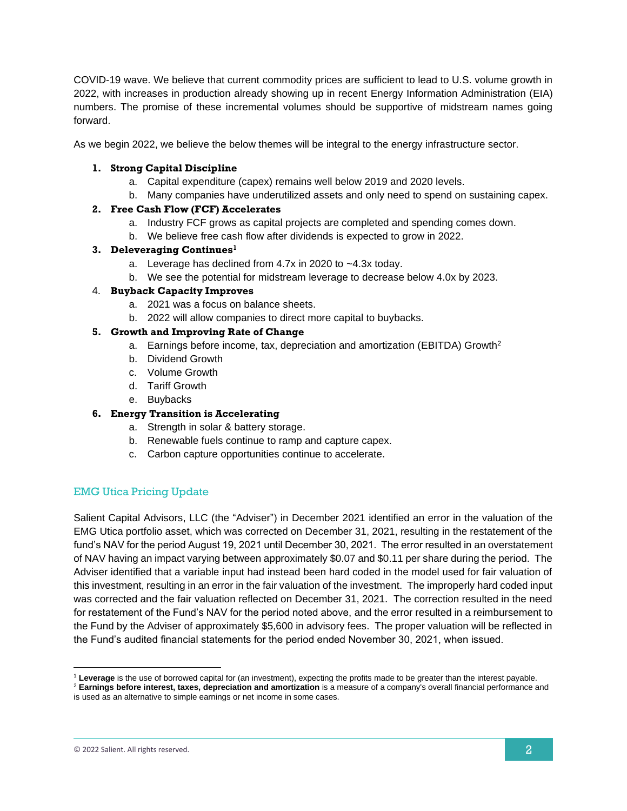COVID-19 wave. We believe that current commodity prices are sufficient to lead to U.S. volume growth in 2022, with increases in production already showing up in recent Energy Information Administration (EIA) numbers. The promise of these incremental volumes should be supportive of midstream names going forward.

As we begin 2022, we believe the below themes will be integral to the energy infrastructure sector.

### **1. Strong Capital Discipline**

- a. Capital expenditure (capex) remains well below 2019 and 2020 levels.
- b. Many companies have underutilized assets and only need to spend on sustaining capex.

### **2. Free Cash Flow (FCF) Accelerates**

- a. Industry FCF grows as capital projects are completed and spending comes down.
- b. We believe free cash flow after dividends is expected to grow in 2022.

#### **3. Deleveraging Continues<sup>1</sup>**

- a. Leverage has declined from 4.7x in 2020 to ~4.3x today.
- b. We see the potential for midstream leverage to decrease below 4.0x by 2023.

### 4. **Buyback Capacity Improves**

- a. 2021 was a focus on balance sheets.
- b. 2022 will allow companies to direct more capital to buybacks.

### **5. Growth and Improving Rate of Change**

- a. Earnings before income, tax, depreciation and amortization (EBITDA) Growth<sup>2</sup>
- b. Dividend Growth
- c. Volume Growth
- d. Tariff Growth
- e. Buybacks

### **6. Energy Transition is Accelerating**

- a. Strength in solar & battery storage.
- b. Renewable fuels continue to ramp and capture capex.
- c. Carbon capture opportunities continue to accelerate.

## EMG Utica Pricing Update

Salient Capital Advisors, LLC (the "Adviser") in December 2021 identified an error in the valuation of the EMG Utica portfolio asset, which was corrected on December 31, 2021, resulting in the restatement of the fund's NAV for the period August 19, 2021 until December 30, 2021. The error resulted in an overstatement of NAV having an impact varying between approximately \$0.07 and \$0.11 per share during the period. The Adviser identified that a variable input had instead been hard coded in the model used for fair valuation of this investment, resulting in an error in the fair valuation of the investment. The improperly hard coded input was corrected and the fair valuation reflected on December 31, 2021. The correction resulted in the need for restatement of the Fund's NAV for the period noted above, and the error resulted in a reimbursement to the Fund by the Adviser of approximately \$5,600 in advisory fees. The proper valuation will be reflected in the Fund's audited financial statements for the period ended November 30, 2021, when issued.

<sup>1</sup> **Leverage** is the use of borrowed capital for (an investment), expecting the profits made to be greater than the interest payable.

<sup>2</sup> **Earnings before interest, taxes, depreciation and amortization** is a measure of a company's overall financial performance and is used as an alternative to simple earnings or net income in some cases.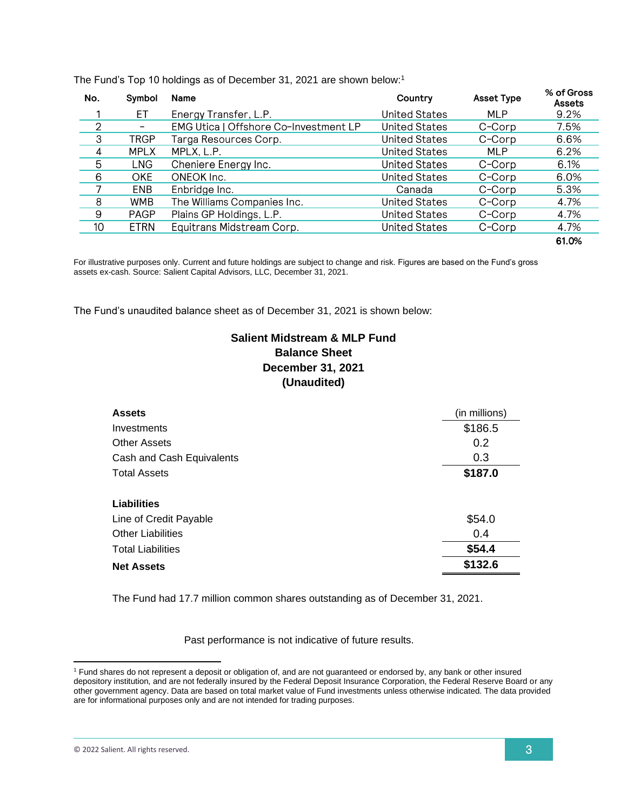| No.            | Symbol                       | <b>Name</b>                           | Country              | <b>Asset Type</b> | % of Gross<br>Assets |
|----------------|------------------------------|---------------------------------------|----------------------|-------------------|----------------------|
|                | EТ                           | Energy Transfer, L.P.                 | <b>United States</b> | <b>MLP</b>        | 9.2%                 |
| $\overline{2}$ | $\qquad \qquad \blacksquare$ | EMG Utica   Offshore Co-Investment LP | <b>United States</b> | C-Corp            | 7.5%                 |
| 3              | TRGP                         | Targa Resources Corp.                 | <b>United States</b> | C-Corp            | 6.6%                 |
| 4              | <b>MPLX</b>                  | MPLX, L.P.                            | <b>United States</b> | <b>MLP</b>        | 6.2%                 |
| 5              | LNG.                         | Cheniere Energy Inc.                  | United States        | C-Corp            | 6.1%                 |
| 6              | OKE.                         | ONEOK Inc.                            | <b>United States</b> | C-Corp            | 6.0%                 |
|                | ENB.                         | Enbridge Inc.                         | Canada               | C-Corp            | 5.3%                 |
| 8              | <b>WMB</b>                   | The Williams Companies Inc.           | <b>United States</b> | C-Corp            | 4.7%                 |
| 9              | <b>PAGP</b>                  | Plains GP Holdings, L.P.              | <b>United States</b> | C-Corp            | 4.7%                 |
| 10             | <b>ETRN</b>                  | Equitrans Midstream Corp.             | <b>United States</b> | C-Corp            | 4.7%                 |
|                |                              |                                       |                      |                   | 61.0%                |

The Fund's Top 10 holdings as of December 31, 2021 are shown below:<sup>1</sup>

For illustrative purposes only. Current and future holdings are subject to change and risk. Figures are based on the Fund's gross assets ex-cash. Source: Salient Capital Advisors, LLC, December 31, 2021.

The Fund's unaudited balance sheet as of December 31, 2021 is shown below:

# **Salient Midstream & MLP Fund Balance Sheet December 31, 2021 (Unaudited)**

| <b>Assets</b>             | (in millions) |  |
|---------------------------|---------------|--|
| Investments               | \$186.5       |  |
| <b>Other Assets</b>       | 0.2           |  |
| Cash and Cash Equivalents | 0.3           |  |
| <b>Total Assets</b>       | \$187.0       |  |
| Liabilities               |               |  |
| Line of Credit Payable    | \$54.0        |  |
| <b>Other Liabilities</b>  | 0.4           |  |
| <b>Total Liabilities</b>  | \$54.4        |  |
| <b>Net Assets</b>         | \$132.6       |  |

The Fund had 17.7 million common shares outstanding as of December 31, 2021.

Past performance is not indicative of future results.

<sup>1</sup> Fund shares do not represent a deposit or obligation of, and are not guaranteed or endorsed by, any bank or other insured depository institution, and are not federally insured by the Federal Deposit Insurance Corporation, the Federal Reserve Board or any other government agency. Data are based on total market value of Fund investments unless otherwise indicated. The data provided are for informational purposes only and are not intended for trading purposes.